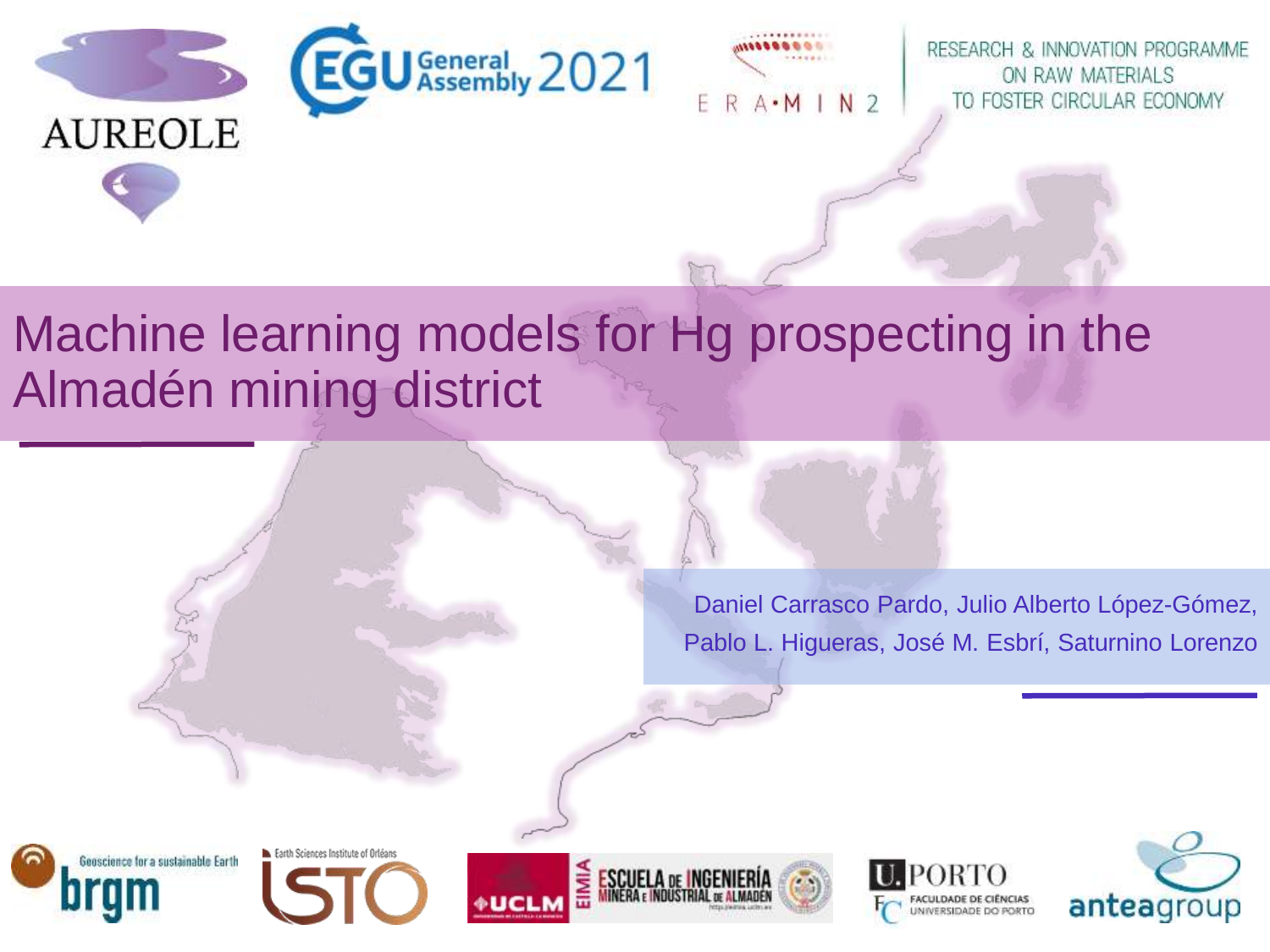



RESEARCH & INNOVATION PROGRAMME ON RAW MATERIALS TO FOSTER CIRCULAR ECONOMY

# Machine learning models for Hg prospecting in the Almadén mining district

Daniel Carrasco Pardo, Julio Alberto López-Gómez, Pablo L. Higueras, José M. Esbrí, Saturnino Lorenzo



Earth Sciences Institute of Orléans





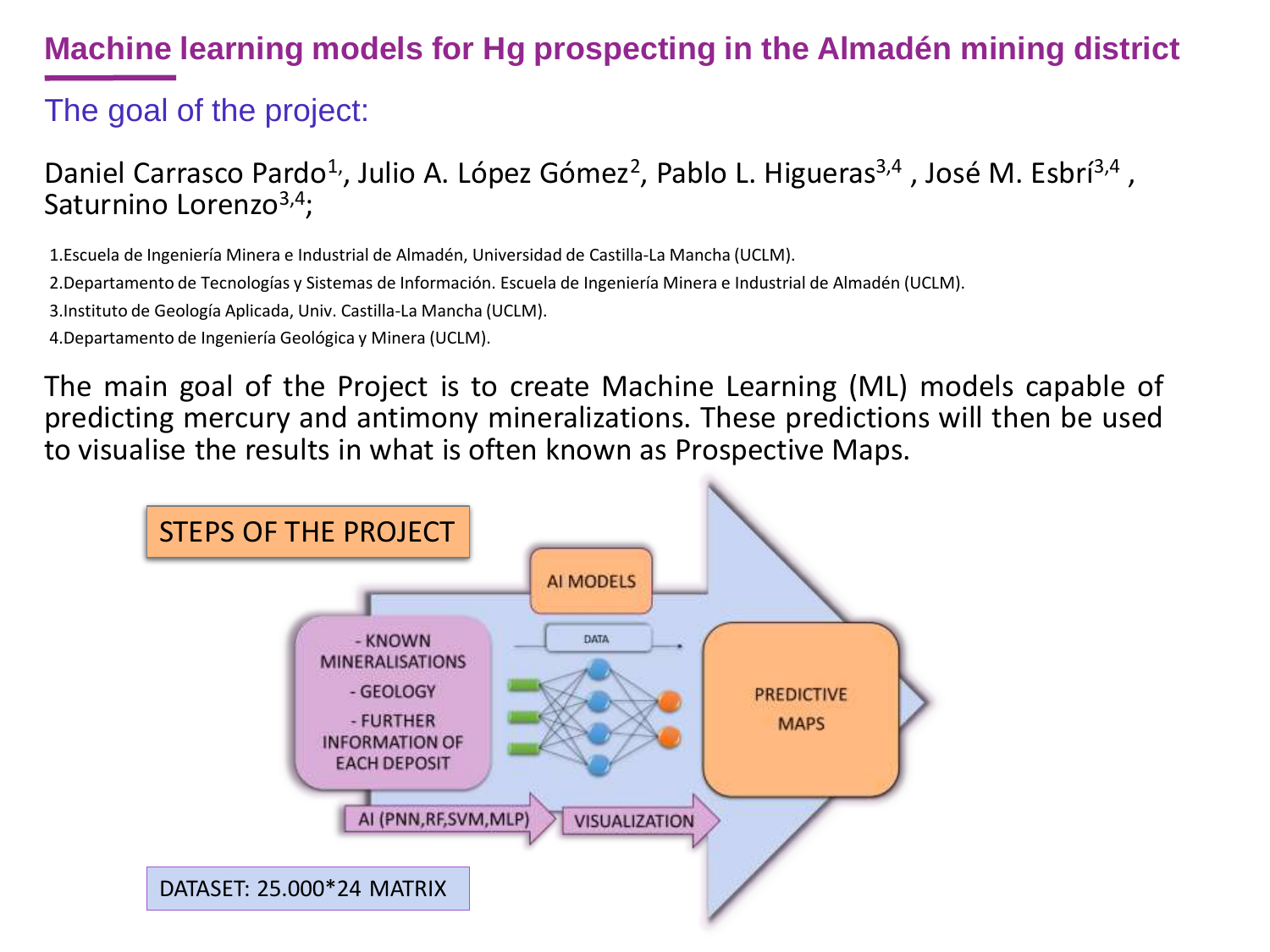### The goal of the project:

Daniel Carrasco Pardo<sup>1,</sup>, Julio A. López Gómez<sup>2</sup>, Pablo L. Higueras<sup>3,4</sup>, José M. Esbrí<sup>3,4</sup>, Saturnino Lorenzo<sup>3,4</sup>;

1.Escuela de Ingeniería Minera e Industrial de Almadén, Universidad de Castilla-La Mancha (UCLM).

2.Departamento de Tecnologías y Sistemas de Información. Escuela de Ingeniería Minera e Industrial de Almadén (UCLM).

3.Instituto de Geología Aplicada, Univ. Castilla-La Mancha (UCLM).

4.Departamento de Ingeniería Geológica y Minera (UCLM).

The main goal of the Project is to create Machine Learning (ML) models capable of predicting mercury and antimony mineralizations. These predictions will then be used to visualise the results in what is often known as Prospective Maps.

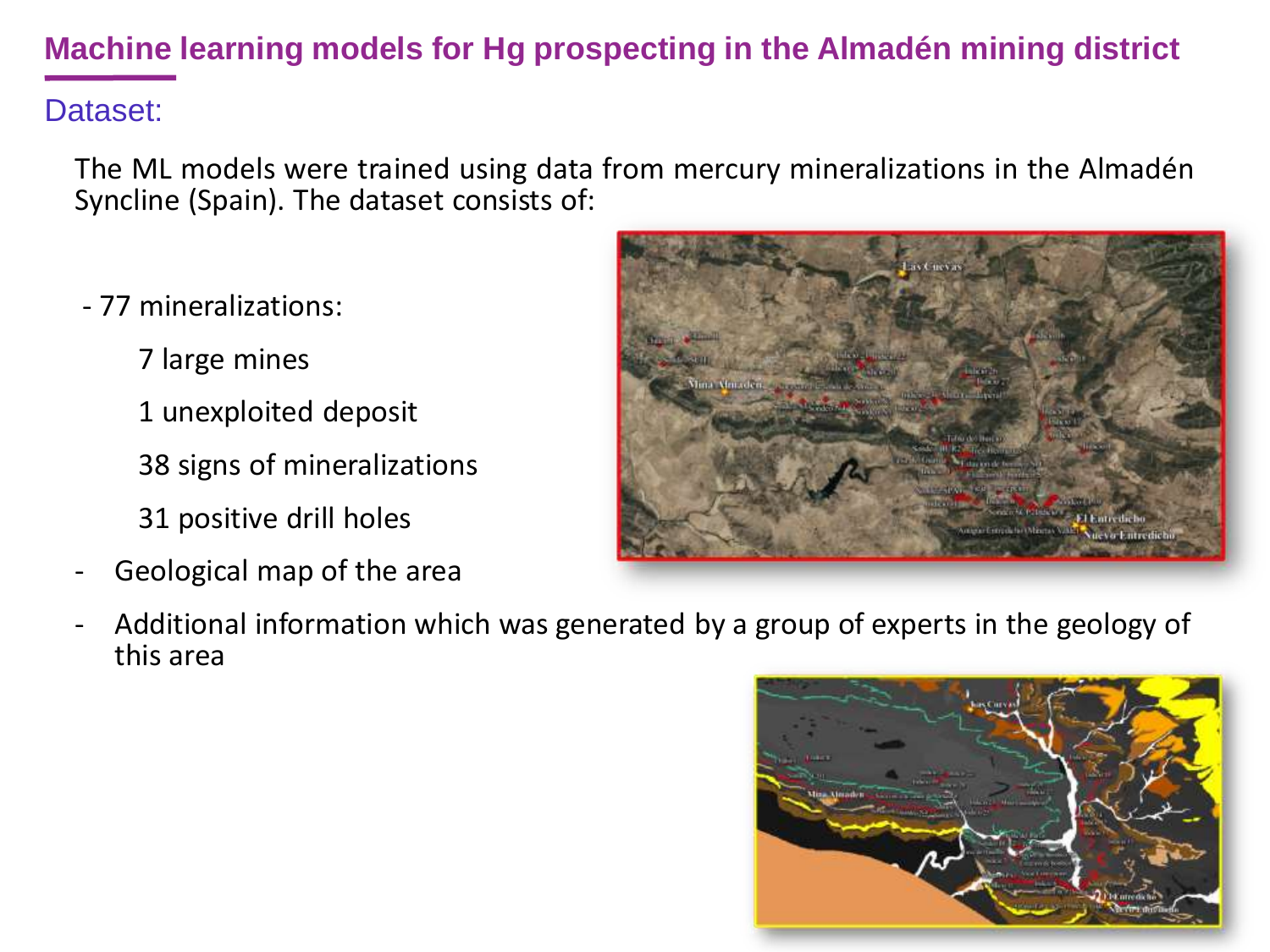#### Dataset:

The ML models were trained using data from mercury mineralizations in the Almadén Syncline (Spain). The dataset consists of:

- 77 mineralizations:
	- 7 large mines
	- 1 unexploited deposit
	- 38 signs of mineralizations
	- 31 positive drill holes
- Geological map of the area



Additional information which was generated by a group of experts in the geology of this area

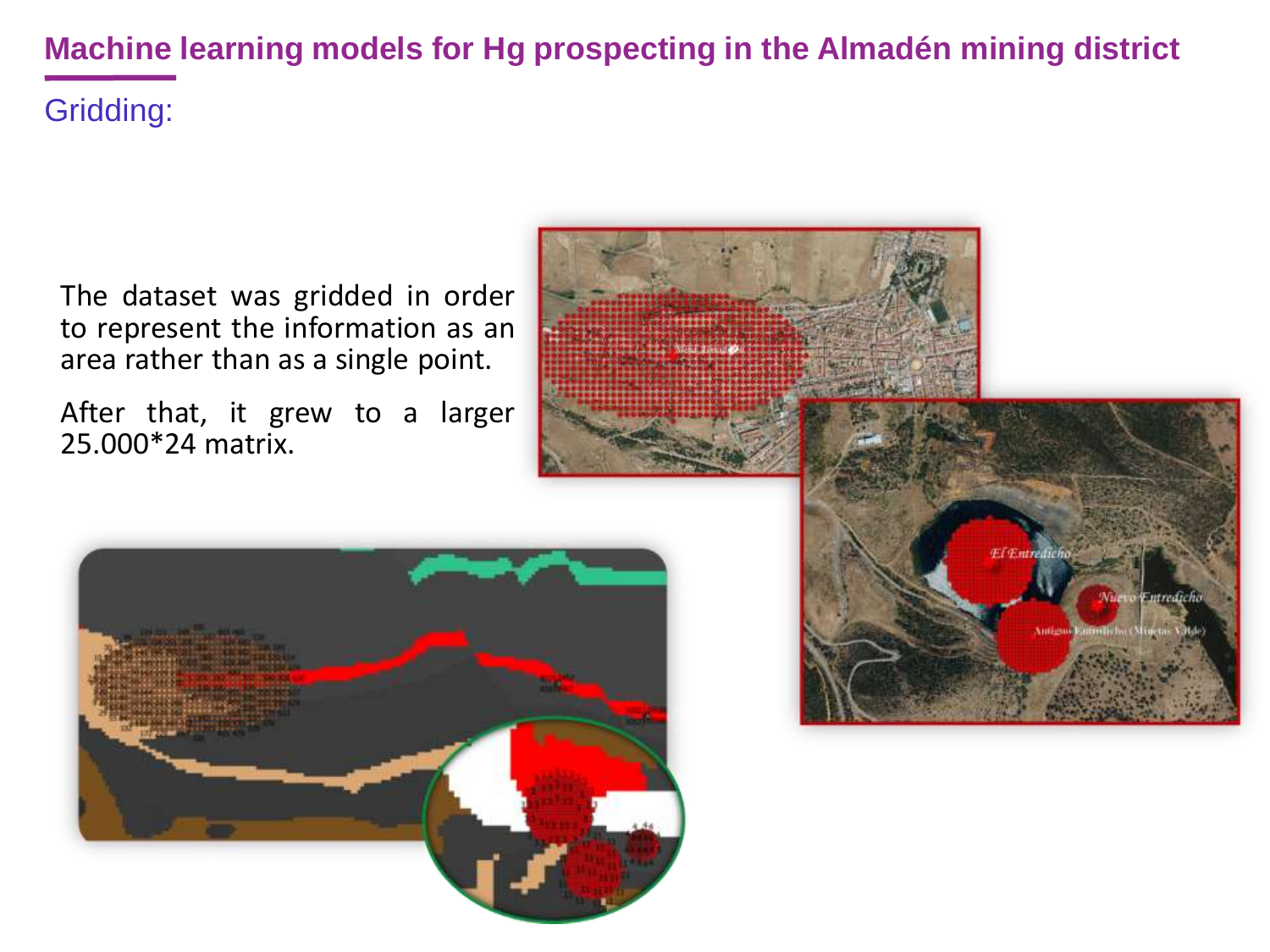The dataset was gridded in order to represent the information as an area rather than as a single point.

After that, it grew to a larger 25.000\*24 matrix.



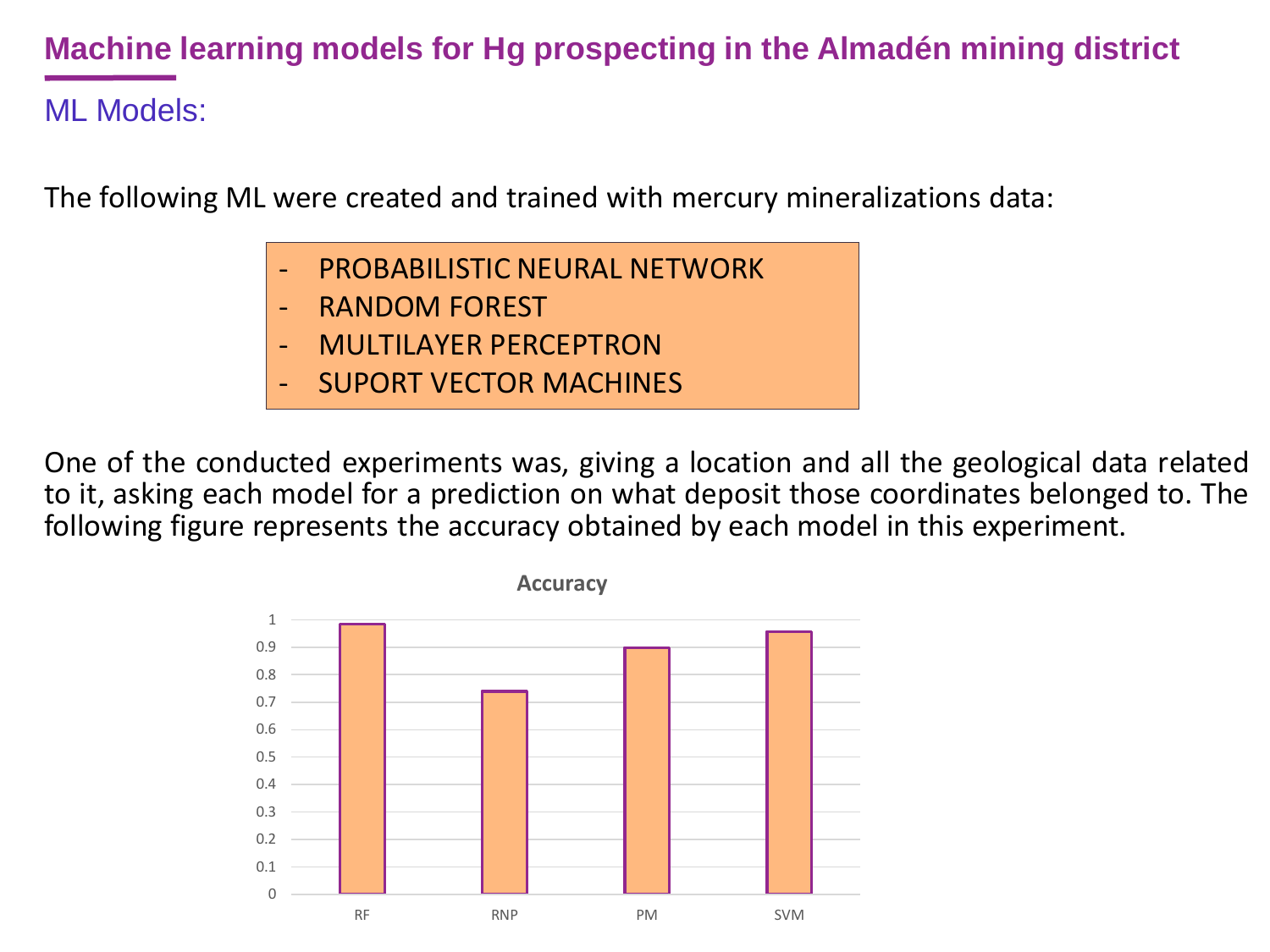ML Models:

The following ML were created and trained with mercury mineralizations data:

- PROBABILISTIC NEURAL NETWORK
- RANDOM FOREST
- MULTILAYER PERCEPTRON
- **SUPORT VECTOR MACHINES**

One of the conducted experiments was, giving a location and all the geological data related to it, asking each model for a prediction on what deposit those coordinates belonged to. The following figure represents the accuracy obtained by each model in this experiment.